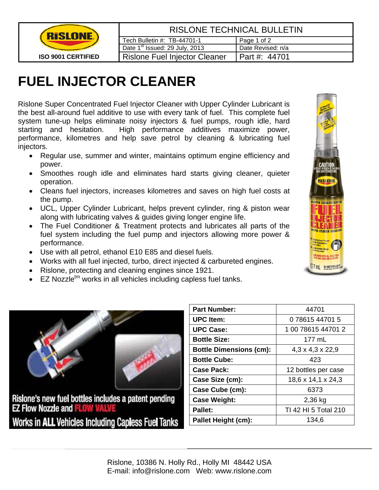

| <b>RISLONE TECHNICAL BULLETIN</b>          |                   |
|--------------------------------------------|-------------------|
| Tech Bulletin #: TB-44701-1                | Page 1 of 2       |
| Date 1 <sup>st</sup> Issued: 29 July, 2013 | Date Revised: n/a |
| Rislone Fuel Injector Cleaner              | Part #: 44701     |

# **FUEL INJECTOR CLEANER**

Rislone Super Concentrated Fuel Injector Cleaner with Upper Cylinder Lubricant is the best all-around fuel additive to use with every tank of fuel. This complete fuel system tune-up helps eliminate noisy injectors & fuel pumps, rough idle, hard starting and hesitation. High performance additives maximize power, performance, kilometres and help save petrol by cleaning & lubricating fuel injectors.

- Regular use, summer and winter, maintains optimum engine efficiency and power.
- Smoothes rough idle and eliminates hard starts giving cleaner, quieter operation.
- Cleans fuel injectors, increases kilometres and saves on high fuel costs at the pump.
- UCL, Upper Cylinder Lubricant, helps prevent cylinder, ring & piston wear along with lubricating valves & guides giving longer engine life.
- The Fuel Conditioner & Treatment protects and lubricates all parts of the fuel system including the fuel pump and injectors allowing more power & performance.
- Use with all petrol, ethanol E10 E85 and diesel fuels.
- Works with all fuel injected, turbo, direct injected & carbureted engines.
- Rislone, protecting and cleaning engines since 1921.
- $EZ$  Nozzle $<sup>tm</sup>$  works in all vehicles including capless fuel tanks.</sup>



Rislone's new fuel bottles includes a patent pending **EZ Flow Nozzle and FLOW VALV Works in ALL Vehicles Including Capless Fuel Tanks** 

| <b>Part Number:</b>            | 44701                        |
|--------------------------------|------------------------------|
| <b>UPC Item:</b>               | 078615447015                 |
| <b>UPC Case:</b>               | 1 00 78615 44701 2           |
| <b>Bottle Size:</b>            | 177 $mL$                     |
| <b>Bottle Dimensions (cm):</b> | $4,3 \times 4,3 \times 22,9$ |
| <b>Bottle Cube:</b>            | 423                          |
| <b>Case Pack:</b>              | 12 bottles per case          |
| Case Size (cm):                | 18,6 x 14,1 x 24,3           |
| Case Cube (cm):                | 6373                         |
| <b>Case Weight:</b>            | $2,36$ kg                    |
| <b>Pallet:</b>                 | TI 42 HI 5 Total 210         |
| Pallet Height (cm):            | 134,6                        |